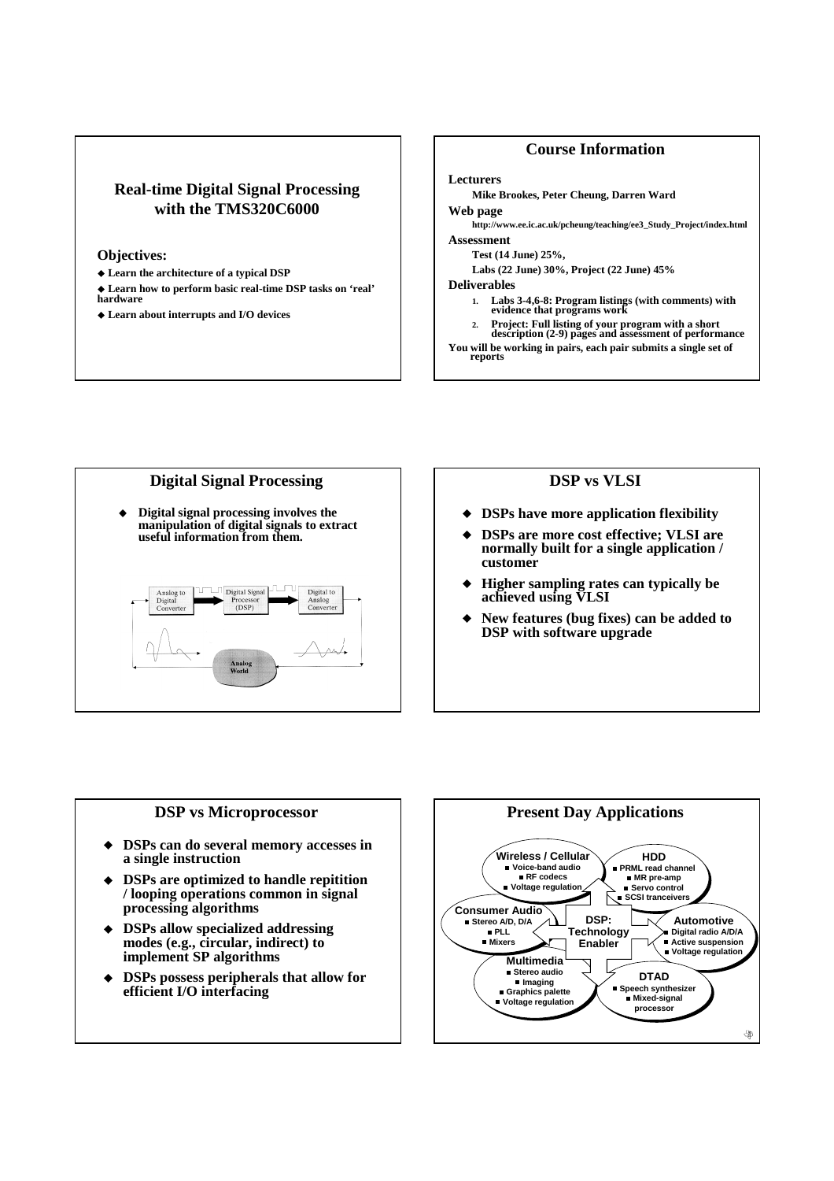## **Real-time Digital Signal Processing with the TMS320C6000**

### **Objectives:**

- **Learn the architecture of a typical DSP**
- **Learn how to perform basic real-time DSP tasks on 'real' hardware**
- **Learn about interrupts and I/O devices**

### **Course Information**

#### **Lecturers**

**Mike Brookes, Peter Cheung, Darren Ward**

**Web page**

**http://www.ee.ic.ac.uk/pcheung/teaching/ee3\_Study\_Project/index.html Assessment**

# **Test (14 June) 25%,**

**Labs (22 June) 30%, Project (22 June) 45%**

### **Deliverables**

- **1. Labs 3-4,6-8: Program listings (with comments) with evidence that programs work**
- 2. Project: Full listing of your program with a short<br>description (2-9) pages and assessment of performance

**You will be working in pairs, each pair submits a single set of reports**



### **DSP vs VLSI**

- **DSPs have more application flexibility**
- **DSPs are more cost effective; VLSI are normally built for a single application / customer**
- **Higher sampling rates can typically be achieved using VLSI**
- **New features (bug fixes) can be added to DSP with software upgrade**

### **DSP vs Microprocessor**

- **DSPs can do several memory accesses in a single instruction**
- **DSPs are optimized to handle repitition / looping operations common in signal processing algorithms**
- **DSPs allow specialized addressing modes (e.g., circular, indirect) to implement SP algorithms**
- **DSPs possess peripherals that allow for efficient I/O interfacing**

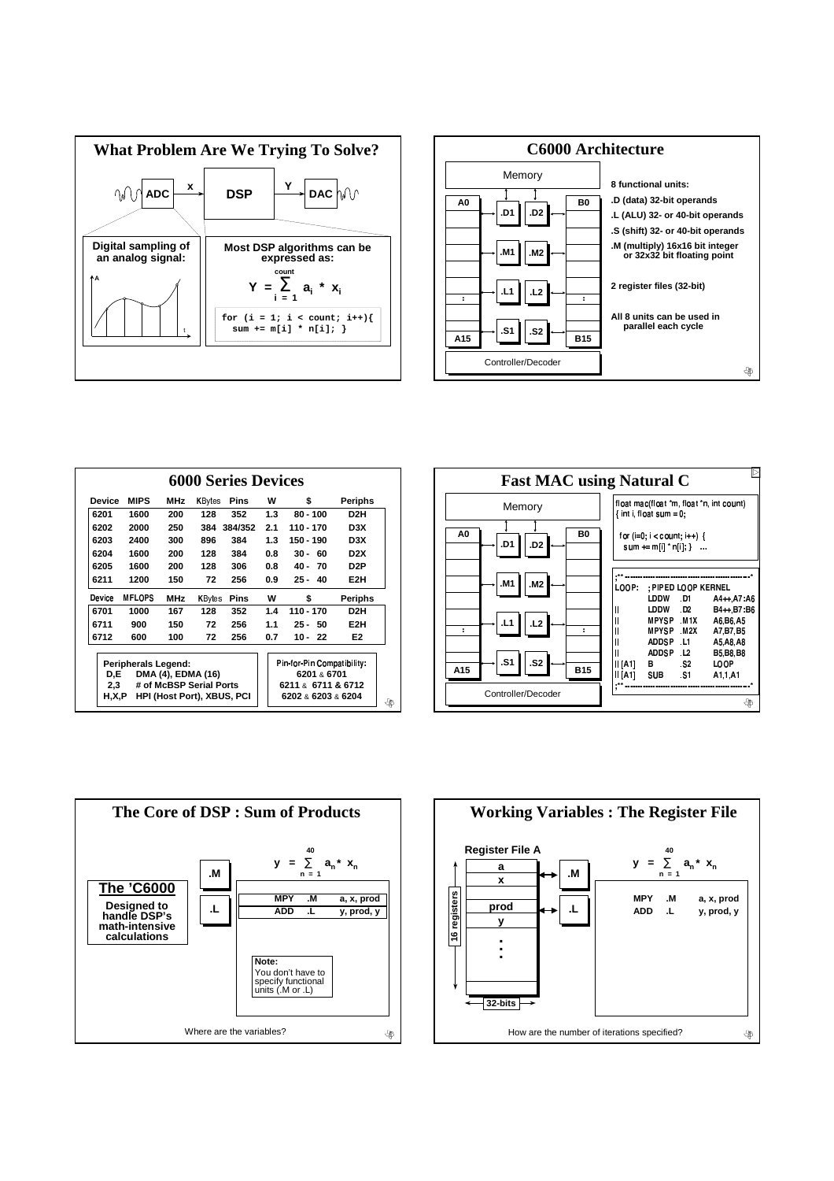



| <b>Device</b>                                                                | <b>MIPS</b>   | MHz        | <b>K</b> Bytes | Pins    | w                                        | \$           | Periphs          |
|------------------------------------------------------------------------------|---------------|------------|----------------|---------|------------------------------------------|--------------|------------------|
| 6201                                                                         | 1600          | 200        | 128            | 352     | 1.3                                      | $80 - 100$   | D2H              |
| 6202                                                                         | 2000          | 250        | 384            | 384/352 | 2.1                                      | 110 - 170    | D3X              |
| 6203                                                                         | 2400          | 300        | 896            | 384     | 1.3                                      | 150 - 190    | D <sub>3</sub> X |
| 6204                                                                         | 1600          | 200        | 128            | 384     | 0.8                                      | $30 -$<br>60 | D <sub>2</sub> X |
| 6205                                                                         | 1600          | 200        | 128            | 306     | 0.8                                      | 40 -<br>70   | D2P              |
| 6211                                                                         | 1200          | 150        | 72             | 256     | 0.9                                      | $25 -$<br>40 | E <sub>2</sub> H |
| Device                                                                       | <b>MFLOPS</b> | <b>MHz</b> | KBytes         | Pins    | w                                        | \$           | <b>Periphs</b>   |
| 6701                                                                         | 1000          | 167        | 128            | 352     | 1.4                                      | 110 - 170    | D <sub>2</sub> H |
| 6711                                                                         | 900           | 150        | 72             | 256     | 1.1                                      | 50<br>$25 -$ | E <sub>2</sub> H |
| 6712                                                                         | 600           | 100        | 72             | 256     | 0.7                                      | $10 -$<br>22 | E <sub>2</sub>   |
| Peripherals Legend:                                                          |               |            |                |         | Pin for Pin Compatibility.               |              |                  |
| D.E<br>DMA (4), EDMA (16)                                                    |               |            |                |         | 6201 & 6701                              |              |                  |
| # of McBSP Serial Ports<br>2,3<br>H.X.P<br><b>HPI (Host Port), XBUS, PCI</b> |               |            |                |         | 6211 & 6711 & 6712<br>6202 & 6203 & 6204 |              |                  |





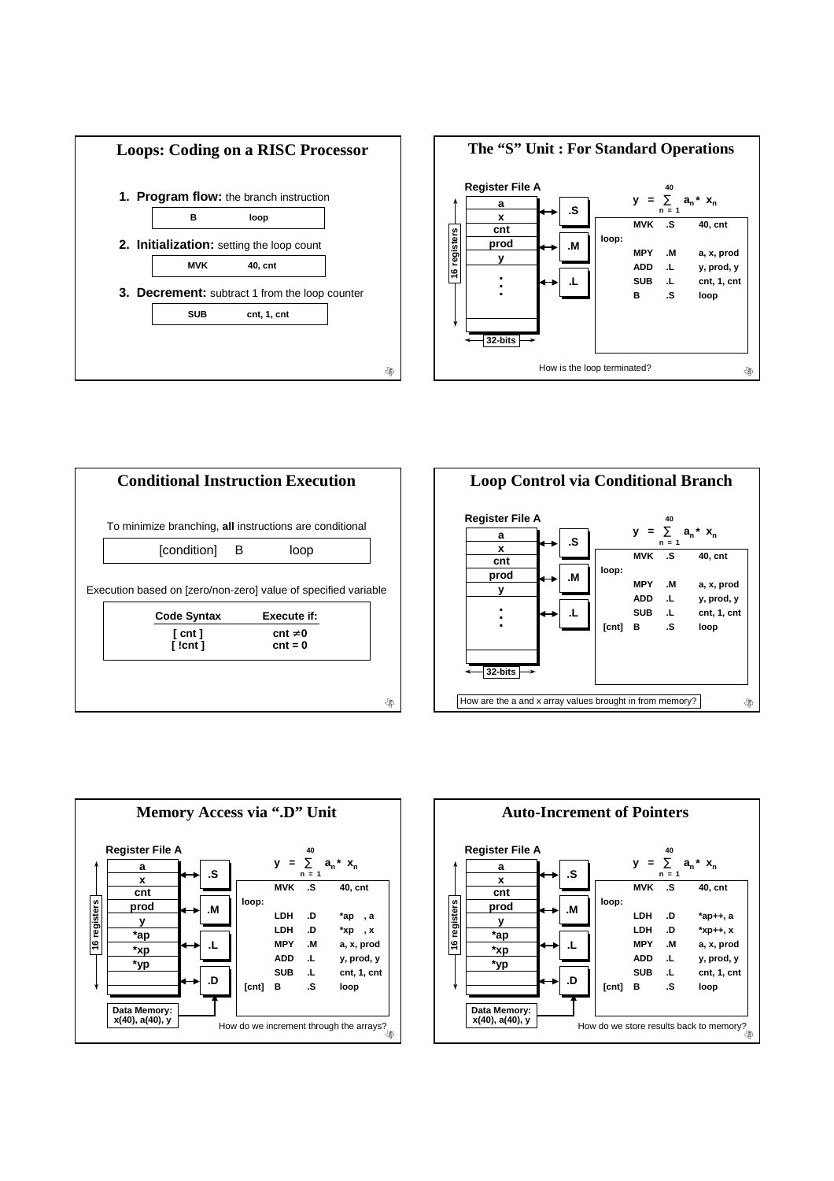









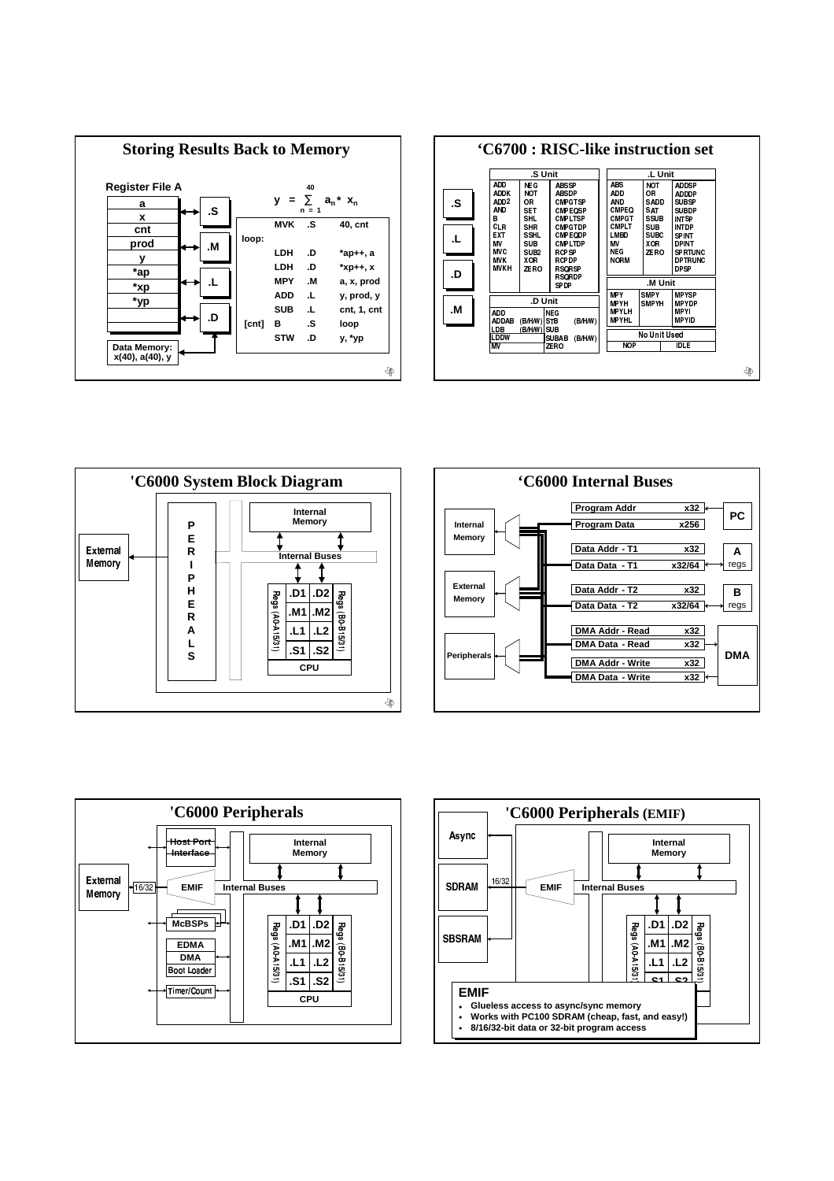









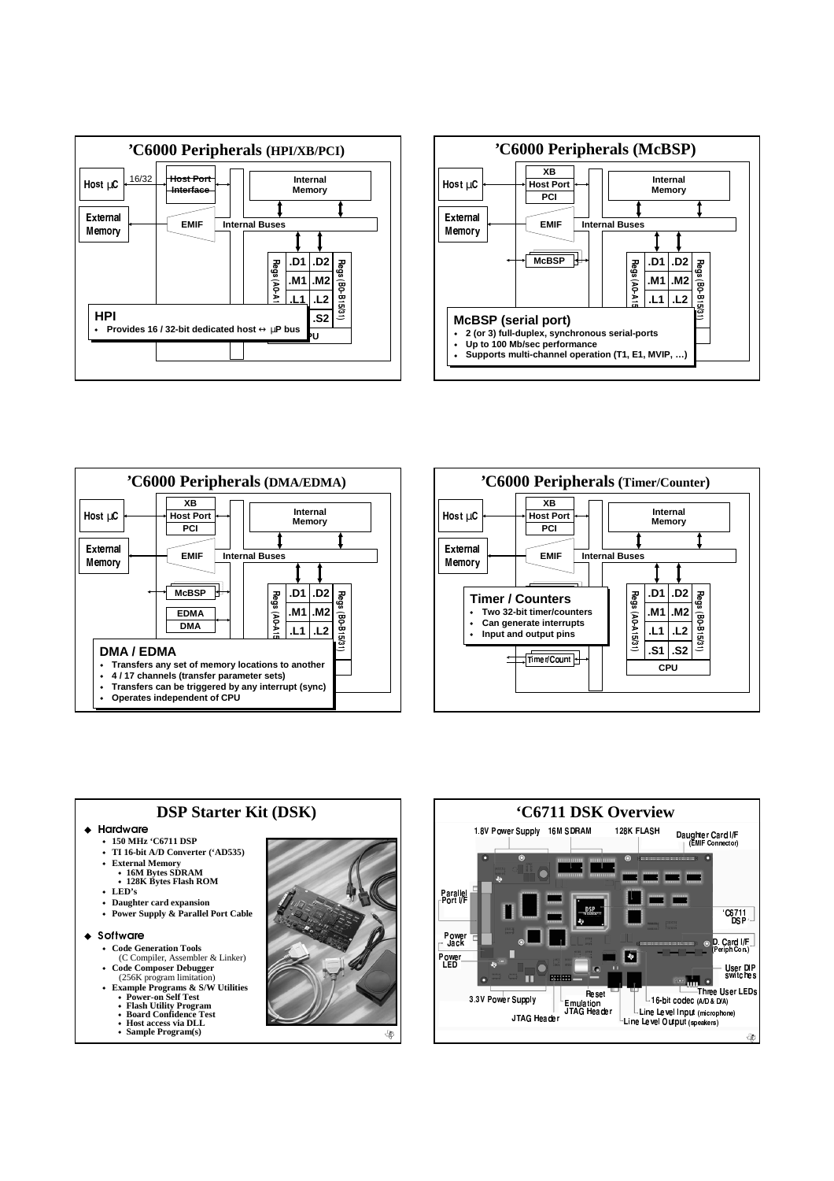